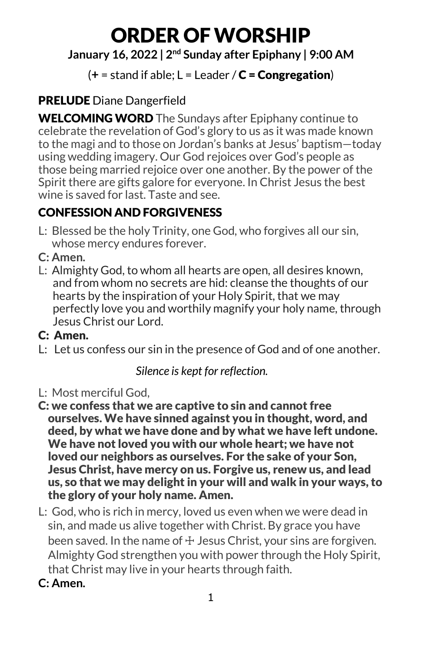# ORDER OFWORSHIP

# **January 16, 2022 | 2nd Sunday after Epiphany | 9:00 AM**

# $(+$  = stand if able;  $L$  = Leader  $\angle C$  = **Congregation**)

# PRELUDE Diane Dangerfield

WELCOMING WORD The Sundays after Epiphany continue to celebrate the revelation of God's glory to us as it was made known to the magi and to those on Jordan's banks at Jesus' baptism—today using wedding imagery. Our God rejoices over God's people as those being married rejoice over one another. By the power of the Spirit there are gifts galore for everyone. In Christ Jesus the best wine is saved for last. Taste and see.

# CONFESSION AND FORGIVENESS

- L: Blessed be the holy Trinity, one God, who forgives all our sin, whose mercy endures forever.
- **C: Amen.**
- L: Almighty God, to whom all hearts are open, all desires known, and from whom no secrets are hid: cleanse the thoughts of our hearts by the inspiration of your Holy Spirit, that we may perfectly love you and worthily magnify your holy name, through Jesus Christ our Lord.

# C: Amen.

L: Let us confess our sin in the presence of God and of one another.

*Silence is kept for reflection.*

- L: Most merciful God,
- C: we confess that we are captive to sin and cannot free ourselves. We have sinned against you in thought, word, and deed, by what we have done and by what we have left undone. We have not loved you with our whole heart; we have not loved our neighbors as ourselves. For the sake of your Son, Jesus Christ, have mercy on us. Forgive us, renew us, and lead us, so that we may delight in your will and walk in your ways, to the glory of your holy name. Amen.
- L: God, who is rich in mercy, loved us even when we were dead in sin, and made us alive together with Christ. By grace you have been saved. In the name of  $\pm$  Jesus Christ, your sins are forgiven. Almighty God strengthen you with power through the Holy Spirit, that Christ may live in your hearts through faith.
- **C: Amen.**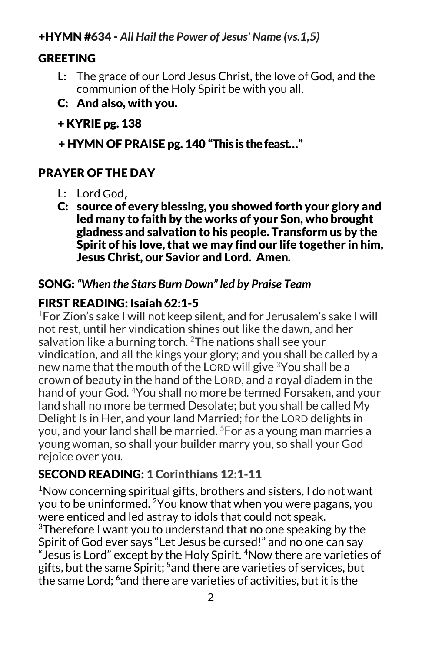#### +HYMN #634 - *All Hail the Power of Jesus' Name (vs.1,5)*

# **GREETING**

- L: The grace of our Lord Jesus Christ, the love of God, and the communion of the Holy Spirit be with you all.
- C: And also, with you.
- + KYRIE pg. 138
- + HYMN OF PRAISE pg. 140 "This is the feast…"

# PRAYER OF THE DAY

- L: Lord God,
- C: source of every blessing, you showed forth your glory and led many to faith by the works of your Son, who brought gladness and salvation to his people. Transform us by the Spirit of his love, that we may find our life together in him, Jesus Christ, our Savior and Lord. Amen.

#### SONG: *"When the Stars Burn Down" led by Praise Team*

#### FIRST READING: Isaiah 62:1-5

1For Zion's sake I will not keep silent, and for Jerusalem's sake I will not rest, until her vindication shines out like the dawn, and her salvation like a burning torch.  $2$ The nations shall see your vindication, and all the kings your glory; and you shall be called by a new name that the mouth of the LORD will give <sup>3</sup>You shall be a crown of beauty in the hand of the LORD, and a royal diadem in the hand of your God. <sup>4</sup>You shall no more be termed Forsaken, and your land shall no more be termed Desolate; but you shall be called My Delight Is in Her, and your land Married; for the LORD delights in you, and your land shall be married. 5For as a young man marries a young woman, so shall your builder marry you, so shall your God rejoice over you.

# SECOND READING: 1 Corinthians 12:1-11

<sup>1</sup>Now concerning spiritual gifts, brothers and sisters, I do not want you to be uninformed. 2You know that when you were pagans, you were enticed and led astray to idols that could not speak. 3Therefore I want you to understand that no one speaking by the Spirit of God ever says "Let Jesus be cursed!" and no one can say "Jesus is Lord" except by the Holy Spirit. 4Now there are varieties of gifts, but the same Spirit; 5and there are varieties of services, but the same Lord: <sup>6</sup> and there are varieties of activities, but it is the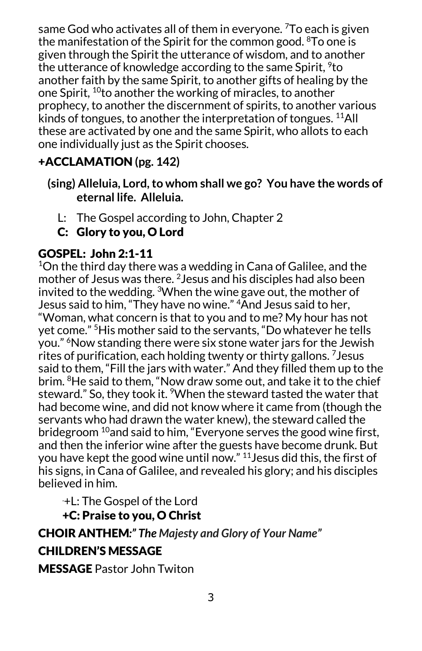same God who activates all of them in everyone. <sup>7</sup>To each is given the manifestation of the Spirit for the common good. 8To one is given through the Spirit the utterance of wisdom, and to another the utterance of knowledge according to the same Spirit, <sup>9</sup>to another faith by the same Spirit, to another gifts of healing by the one Spirit, 10to another the working of miracles, to another prophecy, to another the discernment of spirits, to another various kinds of tongues, to another the interpretation of tongues. <sup>11</sup>All these are activated by one and the same Spirit, who allots to each one individually just as the Spirit chooses.

# +ACCLAMATION **(pg. 142)**

- **(sing) Alleluia, Lord, to whom shall we go? You have the words of eternal life. Alleluia.**
	- L: The Gospel according to John, Chapter 2
	- C: Glory to you, O Lord

# GOSPEL: John 2:1-11

 $^{1}$ On the third day there was a wedding in Cana of Galilee, and the mother of Jesus was there. 2Jesus and his disciples had also been invited to the wedding. 3When the wine gave out, the mother of Jesus said to him, "They have no wine." <sup>4</sup> And Jesus said to her, "Woman, what concern is that to you and to me? My hour has not yet come." 5His mother said to the servants, "Do whatever he tells you." 6Now standing there were six stone water jars for the Jewish rites of purification, each holding twenty or thirty gallons. 7Jesus said to them, "Fill the jars with water." And they filled them up to the brim. <sup>8</sup>He said to them, "Now draw some out, and take it to the chief steward." So, they took it. <sup>9</sup>When the steward tasted the water that had become wine, and did not know where it came from (though the servants who had drawn the water knew), the steward called the bridegroom  $10$  and said to him, "Everyone serves the good wine first, and then the inferior wine after the guests have become drunk. But you have kept the good wine until now." 11Jesus did this, the first of his signs, in Cana of Galilee, and revealed his glory; and his disciples believed in him.

. +L: The Gospel of the Lord +C: Praise to you, O Christ

# CHOIR ANTHEM*:" The Majesty and Glory of Your Name"* CHILDREN'S MESSAGE

MESSAGE Pastor John Twiton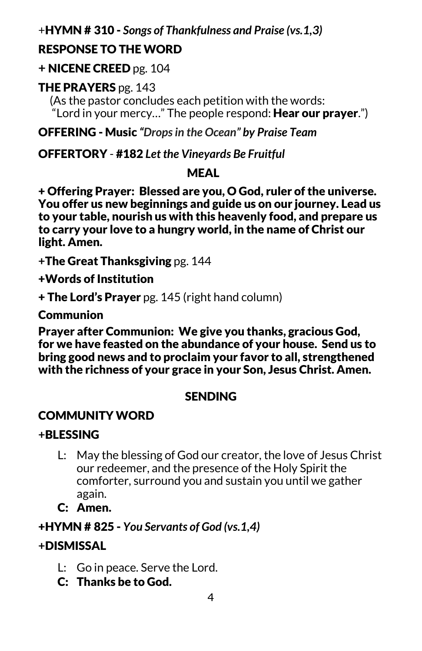#### +HYMN # 310 - *Songs of Thankfulness and Praise (vs.1,3)*

#### RESPONSE TO THE WORD

#### **+** NICENE CREED pg. 104

#### THE PRAYERS pg. 143

 (As the pastor concludes each petition with the words: "Lord in your mercy..." The people respond: **Hear our prayer**.")

OFFERING - Music *"Drops in the Ocean" by Praise Team*

#### OFFERTORY - #182 *Let the Vineyards Be Fruitful*

#### MEAL

+ Offering Prayer: Blessed are you, O God, ruler of the universe. You offer us new beginnings and guide us on our journey. Lead us to your table, nourish us with this heavenly food, and prepare us to carry your love to a hungry world, in the name of Christ our light. Amen.

**+**The Great Thanksgiving pg. 144

+Words of Institution

+ The Lord's Prayer pg. 145 (right hand column)

**Communion** 

Prayer after Communion: We give you thanks, gracious God, for we have feasted on the abundance of your house. Send us to bring good news and to proclaim your favor to all, strengthened with the richness of your grace in your Son, Jesus Christ. Amen.

#### **SENDING**

#### COMMUNITY WORD

#### **+**BLESSING

- L: May the blessing of God our creator, the love of Jesus Christ our redeemer, and the presence of the Holy Spirit the comforter, surround you and sustain you until we gather again.
- C: Amen.

#### +HYMN # 825 - *You Servants of God (vs.1,4)*

#### **+**DISMISSAL

- L: Go in peace. Serve the Lord.
- C: Thanks be to God.